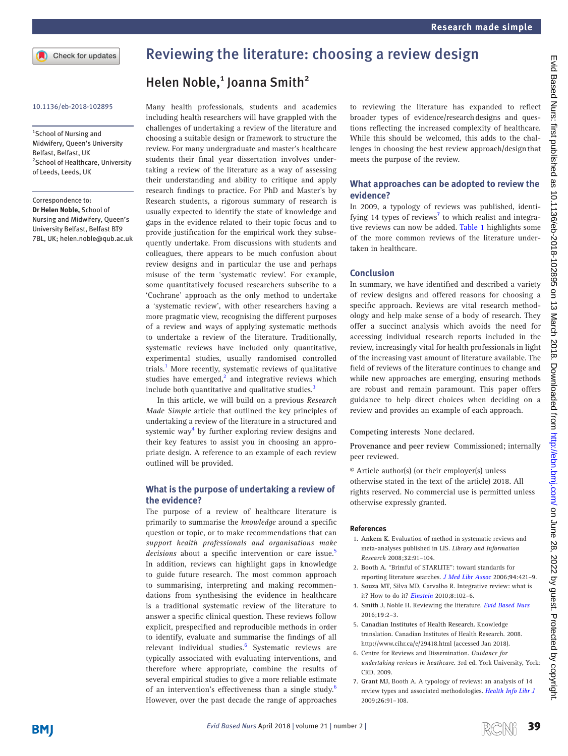Check for updates

1 School of Nursing and Midwifery, Queen's University Belfast, Belfast, UK <sup>2</sup> School of Healthcare, University of Leeds, Leeds, UK

Correspondence to:

*Dr Helen Noble,* School of Nursing and Midwifery, Queen's University Belfast, Belfast BT9 7BL, UK; helen.noble@qub.ac.uk

## Reviewing the literature: choosing a review design

# Helen Noble,<sup>1</sup> Joanna Smith<sup>2</sup>

10.1136/eb-2018-102895 Many health professionals, students and academics including health researchers will have grappled with the challenges of undertaking a review of the literature and choosing a suitable design or framework to structure the review. For many undergraduate and master's healthcare students their final year dissertation involves undertaking a review of the literature as a way of assessing their understanding and ability to critique and apply research findings to practice. For PhD and Master's by Research students, a rigorous summary of research is usually expected to identify the state of knowledge and gaps in the evidence related to their topic focus and to provide justification for the empirical work they subsequently undertake. From discussions with students and colleagues, there appears to be much confusion about review designs and in particular the use and perhaps misuse of the term 'systematic review'. For example, some quantitatively focused researchers subscribe to a 'Cochrane' approach as the only method to undertake a 'systematic review', with other researchers having a more pragmatic view, recognising the different purposes of a review and ways of applying systematic methods to undertake a review of the literature. Traditionally, systematic reviews have included only quantitative, experimental studies, usually randomised controlled trials.<sup>[1](#page-0-0)</sup> More recently, systematic reviews of qualitative studies have emerged, $2$  and integrative reviews which include both quantitative and qualitative studies.<sup>3</sup>

In this article, we will build on a previous *Research Made Simple* article that outlined the key principles of undertaking a review of the literature in a structured and systemic way<sup>4</sup> by further exploring review designs and their key features to assist you in choosing an appropriate design. A reference to an example of each review outlined will be provided.

#### **What is the purpose of undertaking a review of the evidence?**

The purpose of a review of healthcare literature is primarily to summarise the *knowledge* around a specific question or topic, or to make recommendations that can *support health professionals and organisations make*  decisions about a specific intervention or care issue.<sup>5</sup> In addition, reviews can highlight gaps in knowledge to guide future research. The most common approach to summarising, interpreting and making recommendations from synthesising the evidence in healthcare is a traditional systematic review of the literature to answer a specific clinical question. These reviews follow explicit, prespecified and reproducible methods in order to identify, evaluate and summarise the findings of all relevant individual studies.<sup>6</sup> Systematic reviews are typically associated with evaluating interventions, and therefore where appropriate, combine the results of several empirical studies to give a more reliable estimate of an intervention's effectiveness than a single study.<sup>6</sup> However, over the past decade the range of approaches

to reviewing the literature has expanded to reflect broader types of evidence/researchdesigns and questions reflecting the increased complexity of healthcare. While this should be welcomed, this adds to the challenges in choosing the best review approach/designthat meets the purpose of the review.

## **What approaches can be adopted to review the evidence?**

In 2009, a typology of reviews was published, identi-fying 14 types of reviews<sup>[7](#page-0-6)</sup> to which realist and integrative reviews can now be added. [Table 1](#page-1-0) highlights some of the more common reviews of the literature undertaken in healthcare.

### **Conclusion**

In summary, we have identified and described a variety of review designs and offered reasons for choosing a specific approach. Reviews are vital research methodology and help make sense of a body of research. They offer a succinct analysis which avoids the need for accessing individual research reports included in the review, increasingly vital for health professionals in light of the increasing vast amount of literature available. The field of reviews of the literature continues to change and while new approaches are emerging, ensuring methods are robust and remain paramount. This paper offers guidance to help direct choices when deciding on a review and provides an example of each approach.

**Competing interests** None declared.

**Provenance and peer review** Commissioned; internally peer reviewed.

© Article author(s) (or their employer(s) unless otherwise stated in the text of the article) 2018. All rights reserved. No commercial use is permitted unless otherwise expressly granted.

#### **References**

- <span id="page-0-0"></span>1. **Ankem K**. Evaluation of method in systematic reviews and meta-analyses published in LIS. *Library and Information Research* 2008;**32**:91–104.
- <span id="page-0-1"></span>2. **Booth A**. "Brimful of STARLITE": toward standards for reporting literature searches. *[J Med Libr Assoc](http://www.ncbi.nlm.nih.gov/pubmed/17082834)* 2006;**94**:421–9.
- <span id="page-0-2"></span>3. **Souza MT**, Silva MD, Carvalho R. Integrative review: what is it? How to do it? *[Einstein](http://dx.doi.org/10.1590/s1679-45082010rw1134)* 2010;**8**:102–6.
- <span id="page-0-3"></span>4. **Smith J**, Noble H. Reviewing the literature. *[Evid Based Nurs](http://dx.doi.org/10.1136/eb-2015-102252)* 2016;**19**:2–3.
- <span id="page-0-4"></span>5. **Canadian Institutes of Health Research**. Knowledge translation. Canadian Institutes of Health Research. 2008. <http://www.cihr.ca/e/29418.html>(accessed Jan 2018).
- <span id="page-0-5"></span>6. Centre for Reviews and Dissemination. *Guidance for undertaking reviews in heathcare*. 3rd ed. York University, York: CRD, 2009.
- <span id="page-0-6"></span>7. **Grant MJ**, Booth A. A typology of reviews: an analysis of 14 review types and associated methodologies. *[Health Info Libr J](http://dx.doi.org/10.1111/j.1471-1842.2009.00848.x)* 2009;**26**:91–108.

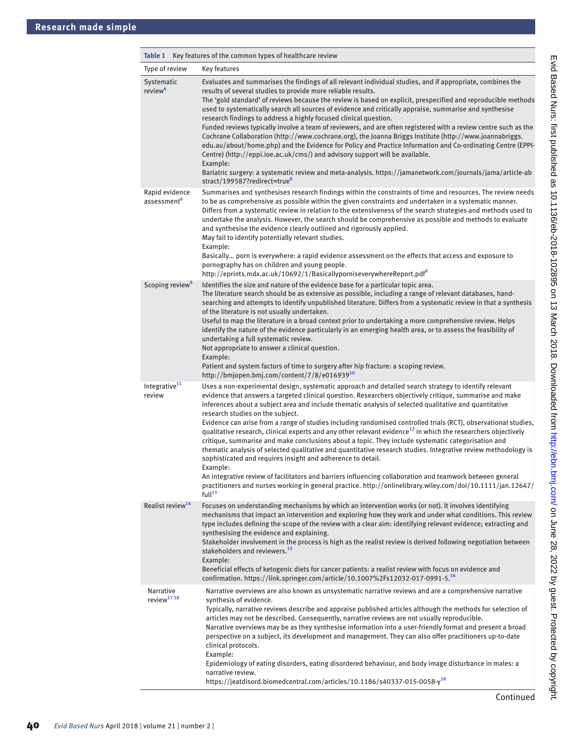<span id="page-1-0"></span>

| Table 1                                    | Key features of the common types of healthcare review                                                                                                                                                                                                                                                                                                                                                                                                                                                                                                                                                                                                                                                                                                                                                                                                                                                                                                                                                                                                                                                                                                                |  |
|--------------------------------------------|----------------------------------------------------------------------------------------------------------------------------------------------------------------------------------------------------------------------------------------------------------------------------------------------------------------------------------------------------------------------------------------------------------------------------------------------------------------------------------------------------------------------------------------------------------------------------------------------------------------------------------------------------------------------------------------------------------------------------------------------------------------------------------------------------------------------------------------------------------------------------------------------------------------------------------------------------------------------------------------------------------------------------------------------------------------------------------------------------------------------------------------------------------------------|--|
| Type of review                             | <b>Key features</b>                                                                                                                                                                                                                                                                                                                                                                                                                                                                                                                                                                                                                                                                                                                                                                                                                                                                                                                                                                                                                                                                                                                                                  |  |
| Systematic<br>review <sup>6</sup>          | Evaluates and summarises the findings of all relevant individual studies, and if appropriate, combines the<br>results of several studies to provide more reliable results.<br>The 'gold standard' of reviews because the review is based on explicit, prespecified and reproducible methods<br>used to systematically search all sources of evidence and critically appraise, summarise and synthesise<br>research findings to address a highly focused clinical question.<br>Funded reviews typically involve a team of reviewers, and are often registered with a review centre such as the<br>Cochrane Collaboration (http://www.cochrane.org), the Joanna Briggs Institute (http://www.joannabriggs.<br>edu.au/about/home.php) and the Evidence for Policy and Practice Information and Co-ordinating Centre (EPPI-<br>Centre) (http://eppi.ioe.ac.uk/cms/) and advisory support will be available.<br>Example:<br>Bariatric surgery: a systematic review and meta-analysis. https://jamanetwork.com/journals/jama/article-ab<br>stract/199587?redirect=true <sup>8</sup>                                                                                        |  |
| Rapid evidence<br>assessment <sup>6</sup>  | Summarises and synthesises research findings within the constraints of time and resources. The review needs<br>to be as comprehensive as possible within the given constraints and undertaken in a systematic manner.<br>Differs from a systematic review in relation to the extensiveness of the search strategies and methods used to<br>undertake the analysis. However, the search should be comprehensive as possible and methods to evaluate<br>and synthesise the evidence clearly outlined and rigorously applied.<br>May fail to identify potentially relevant studies.<br>Example:<br>Basically porn is everywhere: a rapid evidence assessment on the effects that access and exposure to<br>pornography has on children and young people.<br>http://eprints.mdx.ac.uk/10692/1/BasicallyporniseverywhereReport.pdf                                                                                                                                                                                                                                                                                                                                        |  |
| Scoping review <sup>6</sup>                | Identifies the size and nature of the evidence base for a particular topic area.<br>The literature search should be as extensive as possible, including a range of relevant databases, hand-<br>searching and attempts to identify unpublished literature. Differs from a systematic review in that a synthesis<br>of the literature is not usually undertaken.<br>Useful to map the literature in a broad context prior to undertaking a more comprehensive review. Helps<br>identify the nature of the evidence particularly in an emerging health area, or to assess the feasibility of<br>undertaking a full systematic review.<br>Not appropriate to answer a clinical question.<br>Example:<br>Patient and system factors of time to surgery after hip fracture: a scoping review.<br>http://bmjopen.bmj.com/content/7/8/e01693910                                                                                                                                                                                                                                                                                                                             |  |
| Integrative $11$<br>review                 | Uses a non-experimental design, systematic approach and detailed search strategy to identify relevant<br>evidence that answers a targeted clinical question. Researchers objectively critique, summarise and make<br>inferences about a subject area and include thematic analysis of selected qualitative and quantitative<br>research studies on the subject.<br>Evidence can arise from a range of studies including randomised controlled trials (RCT), observational studies,<br>qualitative research, clinical experts and any other relevant evidence <sup>12</sup> in which the researchers objectively<br>critique, summarise and make conclusions about a topic. They include systematic categorisation and<br>thematic analysis of selected qualitative and quantitative research studies. Integrative review methodology is<br>sophisticated and requires insight and adherence to detail.<br>Example:<br>An integrative review of facilitators and barriers influencing collaboration and teamwork between general<br>practitioners and nurses working in general practice. http://onlinelibrary.wiley.com/doi/10.1111/jan.12647/<br>full <sup>13</sup> |  |
| Realist review <sup>14</sup>               | Focuses on understanding mechanisms by which an intervention works (or not). It involves identifying<br>mechanisms that impact an intervention and exploring how they work and under what conditions. This review<br>type includes defining the scope of the review with a clear aim: identifying relevant evidence; extracting and<br>synthesising the evidence and explaining.<br>Stakeholder involvement in the process is high as the realist review is derived following negotiation between<br>stakeholders and reviewers. <sup>15</sup><br>Example:<br>Beneficial effects of ketogenic diets for cancer patients: a realist review with focus on evidence and<br>confirmation. https://link.springer.com/article/10.1007%2Fs12032-017-0991-5. <sup>16</sup>                                                                                                                                                                                                                                                                                                                                                                                                   |  |
| <b>Narrative</b><br>review <sup>1718</sup> | Narrative overviews are also known as unsystematic narrative reviews and are a comprehensive narrative<br>synthesis of evidence.<br>Typically, narrative reviews describe and appraise published articles although the methods for selection of<br>articles may not be described. Consequently, narrative reviews are not usually reproducible.<br>Narrative overviews may be as they synthesise information into a user-friendly format and present a broad<br>perspective on a subject, its development and management. They can also offer practitioners up-to-date<br>clinical protocols.<br>Example:<br>Epidemiology of eating disorders, eating disordered behaviour, and body image disturbance in males: a<br>narrative review.<br>https://jeatdisord.biomedcentral.com/articles/10.1186/s40337-015-0058-y <sup>18</sup>                                                                                                                                                                                                                                                                                                                                     |  |